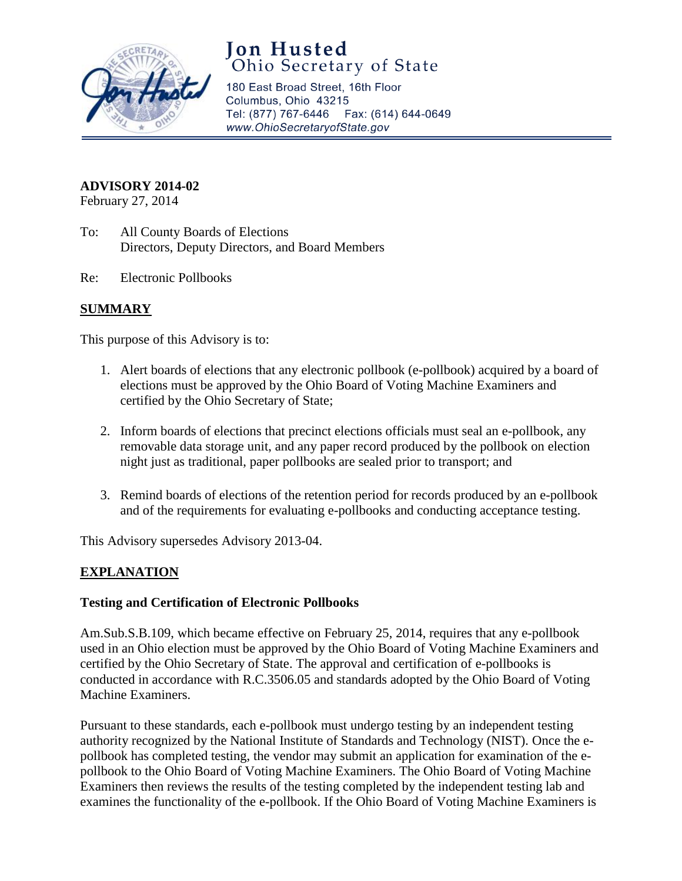

# **Jon Husted**<br>Ohio Secretary of State

180 East Broad Street, 16th Floor Columbus, Ohio 43215 Tel: (877) 767-6446 Fax: (614) 644-0649 www.OhioSecretaryofState.gov

# **ADVISORY 2014-02**

February 27, 2014

- To: All County Boards of Elections Directors, Deputy Directors, and Board Members
- Re: Electronic Pollbooks

# **SUMMARY**

This purpose of this Advisory is to:

- 1. Alert boards of elections that any electronic pollbook (e-pollbook) acquired by a board of elections must be approved by the Ohio Board of Voting Machine Examiners and certified by the Ohio Secretary of State;
- 2. Inform boards of elections that precinct elections officials must seal an e-pollbook, any removable data storage unit, and any paper record produced by the pollbook on election night just as traditional, paper pollbooks are sealed prior to transport; and
- 3. Remind boards of elections of the retention period for records produced by an e-pollbook and of the requirements for evaluating e-pollbooks and conducting acceptance testing.

This Advisory supersedes Advisory 2013-04.

# **EXPLANATION**

## **Testing and Certification of Electronic Pollbooks**

Am.Sub.S.B.109, which became effective on February 25, 2014, requires that any e-pollbook used in an Ohio election must be approved by the Ohio Board of Voting Machine Examiners and certified by the Ohio Secretary of State. The approval and certification of e-pollbooks is conducted in accordance with R.C.3506.05 and standards adopted by the Ohio Board of Voting Machine Examiners.

Pursuant to these standards, each e-pollbook must undergo testing by an independent testing authority recognized by the National Institute of Standards and Technology (NIST). Once the epollbook has completed testing, the vendor may submit an application for examination of the epollbook to the Ohio Board of Voting Machine Examiners. The Ohio Board of Voting Machine Examiners then reviews the results of the testing completed by the independent testing lab and examines the functionality of the e-pollbook. If the Ohio Board of Voting Machine Examiners is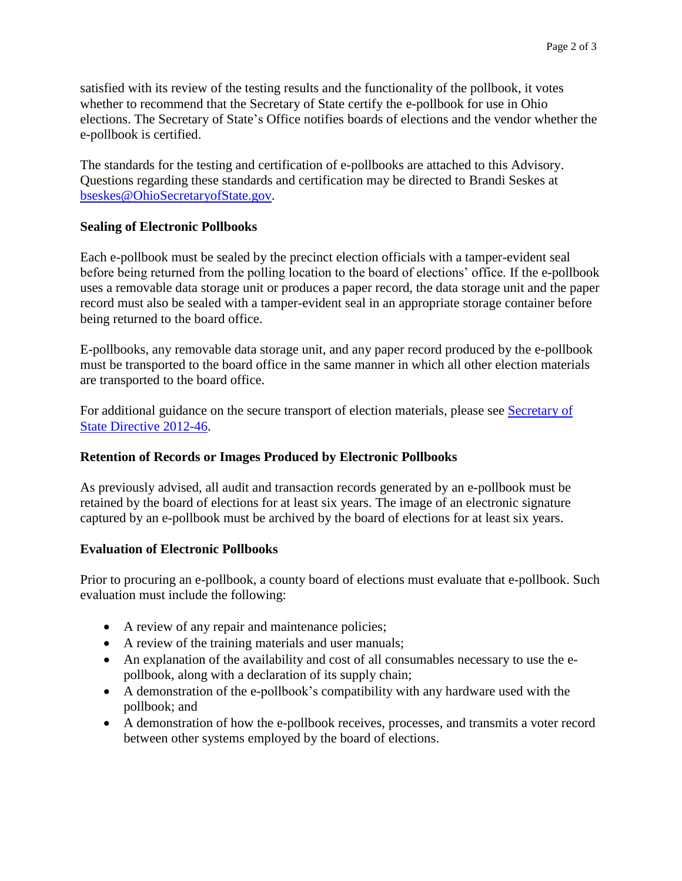satisfied with its review of the testing results and the functionality of the pollbook, it votes whether to recommend that the Secretary of State certify the e-pollbook for use in Ohio elections. The Secretary of State's Office notifies boards of elections and the vendor whether the e-pollbook is certified.

The standards for the testing and certification of e-pollbooks are attached to this Advisory. Questions regarding these standards and certification may be directed to Brandi Seskes at [bseskes@OhioSecretaryofState.gov.](mailto:bseskes@OhioSecretaryofState.gov)

# **Sealing of Electronic Pollbooks**

Each e-pollbook must be sealed by the precinct election officials with a tamper-evident seal before being returned from the polling location to the board of elections' office. If the e-pollbook uses a removable data storage unit or produces a paper record, the data storage unit and the paper record must also be sealed with a tamper-evident seal in an appropriate storage container before being returned to the board office.

E-pollbooks, any removable data storage unit, and any paper record produced by the e-pollbook must be transported to the board office in the same manner in which all other election materials are transported to the board office.

For additional guidance on the secure transport of election materials, please see [Secretary of](http://www.sos.state.oh.us/SOS/Upload/elections/directives/2012/Dir2012-46.pdf)  [State Directive 2012-46.](http://www.sos.state.oh.us/SOS/Upload/elections/directives/2012/Dir2012-46.pdf)

## **Retention of Records or Images Produced by Electronic Pollbooks**

As previously advised, all audit and transaction records generated by an e-pollbook must be retained by the board of elections for at least six years. The image of an electronic signature captured by an e-pollbook must be archived by the board of elections for at least six years.

## **Evaluation of Electronic Pollbooks**

Prior to procuring an e-pollbook, a county board of elections must evaluate that e-pollbook. Such evaluation must include the following:

- A review of any repair and maintenance policies;
- A review of the training materials and user manuals;
- An explanation of the availability and cost of all consumables necessary to use the epollbook, along with a declaration of its supply chain;
- A demonstration of the e-pollbook's compatibility with any hardware used with the pollbook; and
- A demonstration of how the e-pollbook receives, processes, and transmits a voter record between other systems employed by the board of elections.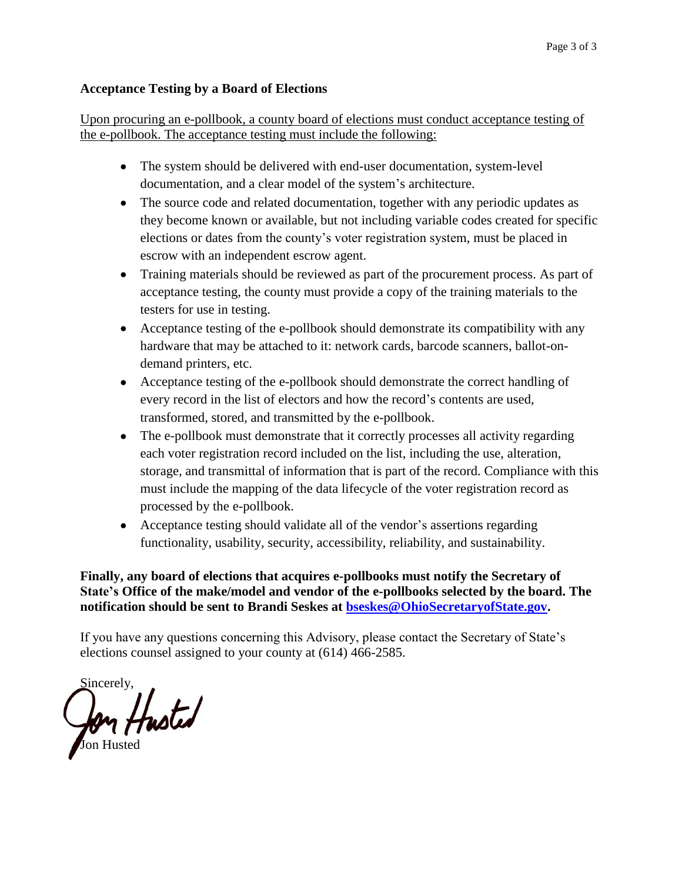## **Acceptance Testing by a Board of Elections**

Upon procuring an e-pollbook, a county board of elections must conduct acceptance testing of the e-pollbook. The acceptance testing must include the following:

- The system should be delivered with end-user documentation, system-level documentation, and a clear model of the system's architecture.
- The source code and related documentation, together with any periodic updates as they become known or available, but not including variable codes created for specific elections or dates from the county's voter registration system, must be placed in escrow with an independent escrow agent.
- Training materials should be reviewed as part of the procurement process. As part of acceptance testing, the county must provide a copy of the training materials to the testers for use in testing.
- Acceptance testing of the e-pollbook should demonstrate its compatibility with any hardware that may be attached to it: network cards, barcode scanners, ballot-ondemand printers, etc.
- Acceptance testing of the e-pollbook should demonstrate the correct handling of every record in the list of electors and how the record's contents are used, transformed, stored, and transmitted by the e-pollbook.
- The e-pollbook must demonstrate that it correctly processes all activity regarding each voter registration record included on the list, including the use, alteration, storage, and transmittal of information that is part of the record. Compliance with this must include the mapping of the data lifecycle of the voter registration record as processed by the e-pollbook.
- Acceptance testing should validate all of the vendor's assertions regarding functionality, usability, security, accessibility, reliability, and sustainability.

**Finally, any board of elections that acquires e-pollbooks must notify the Secretary of State's Office of the make/model and vendor of the e-pollbooks selected by the board. The notification should be sent to Brandi Seskes at [bseskes@OhioSecretaryofState.gov.](mailto:bseskes@OhioSecretaryofState.gov)**

If you have any questions concerning this Advisory, please contact the Secretary of State's elections counsel assigned to your county at (614) 466-2585.

Sincerely, fon Husted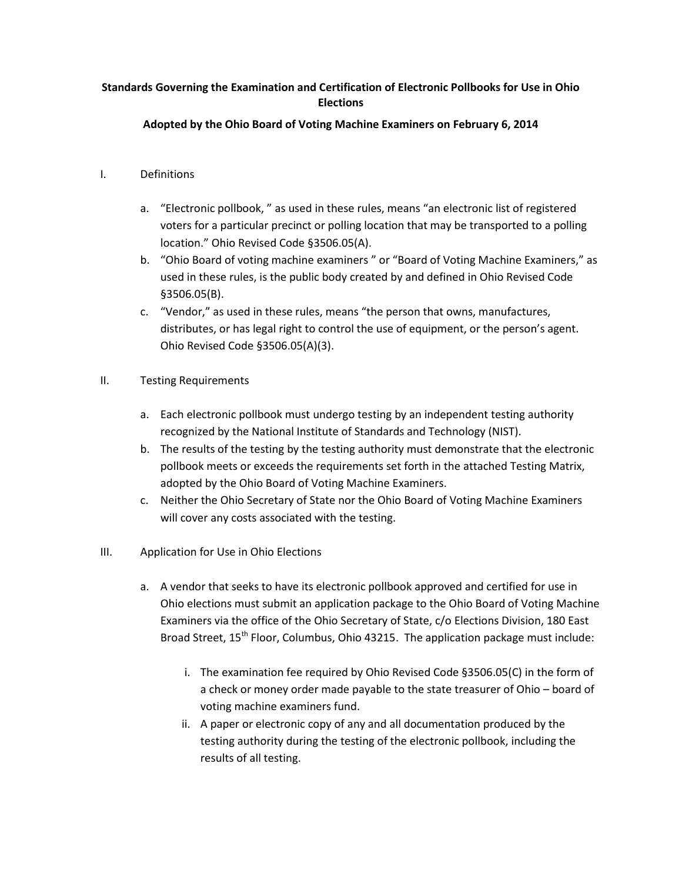#### **Standards Governing the Examination and Certification of Electronic Pollbooks for Use in Ohio Elections**

#### **Adopted by the Ohio Board of Voting Machine Examiners on February 6, 2014**

#### I. Definitions

- a. "Electronic pollbook, " as used in these rules, means "an electronic list of registered voters for a particular precinct or polling location that may be transported to a polling location." Ohio Revised Code §3506.05(A).
- b. "Ohio Board of voting machine examiners " or "Board of Voting Machine Examiners," as used in these rules, is the public body created by and defined in Ohio Revised Code §3506.05(B).
- c. "Vendor," as used in these rules, means "the person that owns, manufactures, distributes, or has legal right to control the use of equipment, or the person's agent. Ohio Revised Code §3506.05(A)(3).
- II. Testing Requirements
	- a. Each electronic pollbook must undergo testing by an independent testing authority recognized by the National Institute of Standards and Technology (NIST).
	- b. The results of the testing by the testing authority must demonstrate that the electronic pollbook meets or exceeds the requirements set forth in the attached Testing Matrix, adopted by the Ohio Board of Voting Machine Examiners.
	- c. Neither the Ohio Secretary of State nor the Ohio Board of Voting Machine Examiners will cover any costs associated with the testing.
- III. Application for Use in Ohio Elections
	- a. A vendor that seeks to have its electronic pollbook approved and certified for use in Ohio elections must submit an application package to the Ohio Board of Voting Machine Examiners via the office of the Ohio Secretary of State, c/o Elections Division, 180 East Broad Street,  $15<sup>th</sup>$  Floor, Columbus, Ohio 43215. The application package must include:
		- i. The examination fee required by Ohio Revised Code §3506.05(C) in the form of a check or money order made payable to the state treasurer of Ohio – board of voting machine examiners fund.
		- ii. A paper or electronic copy of any and all documentation produced by the testing authority during the testing of the electronic pollbook, including the results of all testing.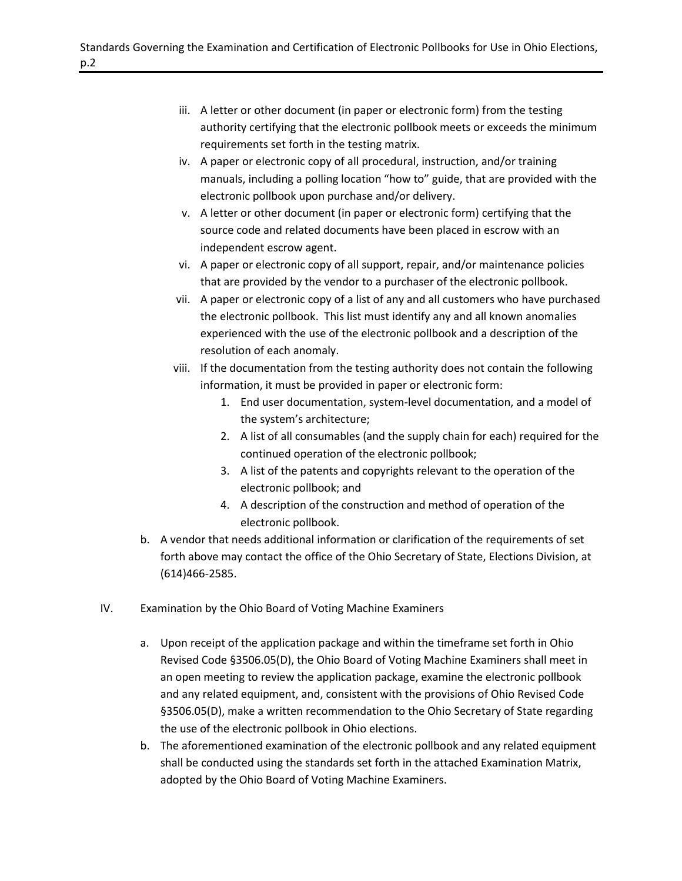- iii. A letter or other document (in paper or electronic form) from the testing authority certifying that the electronic pollbook meets or exceeds the minimum requirements set forth in the testing matrix.
- iv. A paper or electronic copy of all procedural, instruction, and/or training manuals, including a polling location "how to" guide, that are provided with the electronic pollbook upon purchase and/or delivery.
- v. A letter or other document (in paper or electronic form) certifying that the source code and related documents have been placed in escrow with an independent escrow agent.
- vi. A paper or electronic copy of all support, repair, and/or maintenance policies that are provided by the vendor to a purchaser of the electronic pollbook.
- vii. A paper or electronic copy of a list of any and all customers who have purchased the electronic pollbook. This list must identify any and all known anomalies experienced with the use of the electronic pollbook and a description of the resolution of each anomaly.
- viii. If the documentation from the testing authority does not contain the following information, it must be provided in paper or electronic form:
	- 1. End user documentation, system-level documentation, and a model of the system's architecture;
	- 2. A list of all consumables (and the supply chain for each) required for the continued operation of the electronic pollbook;
	- 3. A list of the patents and copyrights relevant to the operation of the electronic pollbook; and
	- 4. A description of the construction and method of operation of the electronic pollbook.
- b. A vendor that needs additional information or clarification of the requirements of set forth above may contact the office of the Ohio Secretary of State, Elections Division, at (614)466-2585.
- IV. Examination by the Ohio Board of Voting Machine Examiners
	- a. Upon receipt of the application package and within the timeframe set forth in Ohio Revised Code §3506.05(D), the Ohio Board of Voting Machine Examiners shall meet in an open meeting to review the application package, examine the electronic pollbook and any related equipment, and, consistent with the provisions of Ohio Revised Code §3506.05(D), make a written recommendation to the Ohio Secretary of State regarding the use of the electronic pollbook in Ohio elections.
	- b. The aforementioned examination of the electronic pollbook and any related equipment shall be conducted using the standards set forth in the attached Examination Matrix, adopted by the Ohio Board of Voting Machine Examiners.